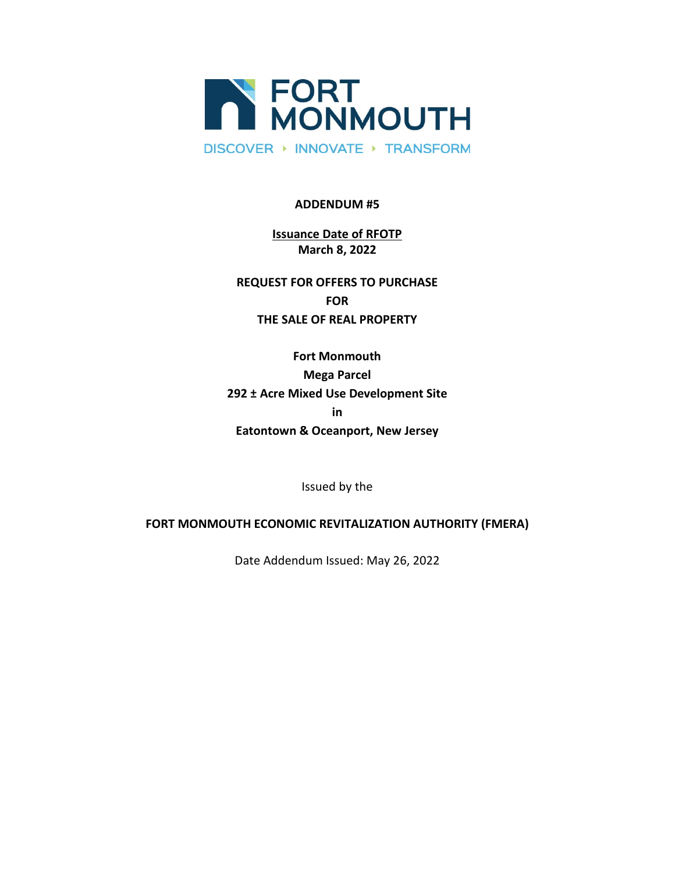

#### **ADDENDUM #5**

# **Issuance Date of RFOTP March 8, 2022**

**REQUEST FOR OFFERS TO PURCHASE FOR THE SALE OF REAL PROPERTY**

**Fort Monmouth Mega Parcel 292 ± Acre Mixed Use Development Site in Eatontown & Oceanport, New Jersey**

Issued by the

## **FORT MONMOUTH ECONOMIC REVITALIZATION AUTHORITY (FMERA)**

Date Addendum Issued: May 26, 2022